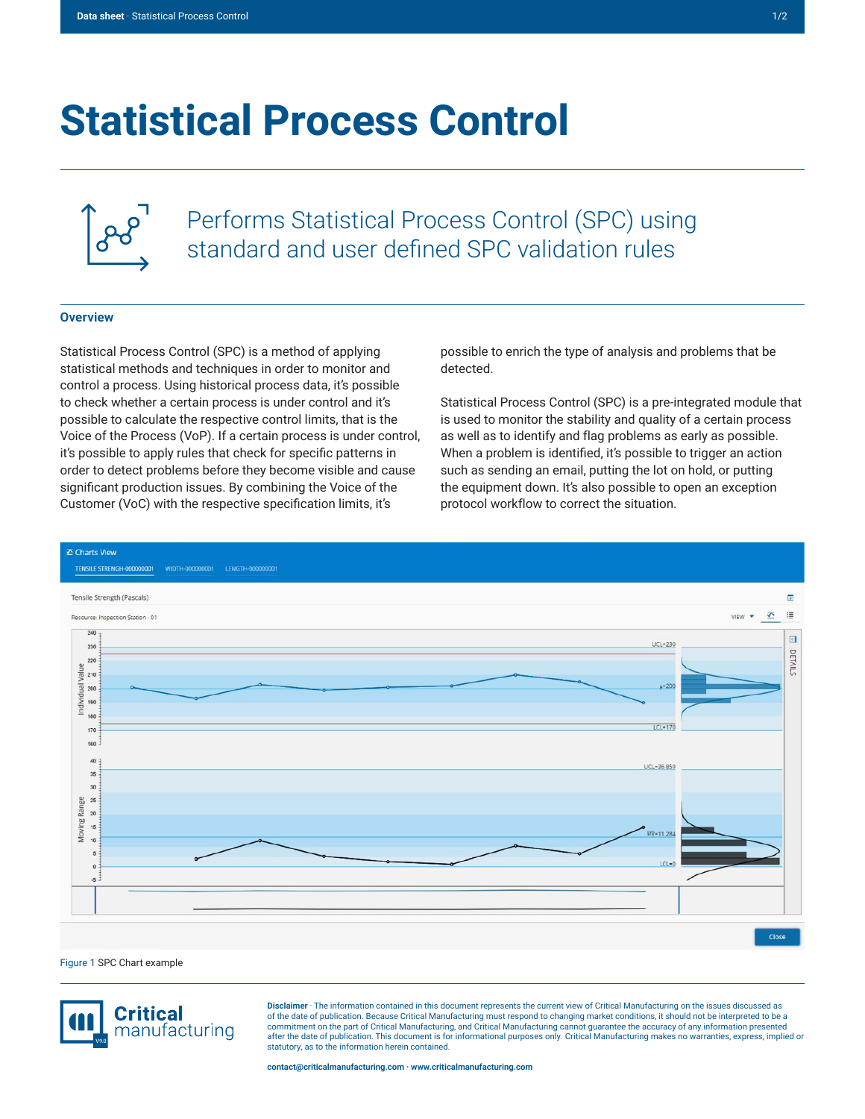## **Statistical Process Control**



Performs Statistical Process Control (SPC) using standard and user defined SPC validation rules

## **Overview**

Statistical Process Control (SPC) is a method of applying statistical methods and techniques in order to monitor and control a process. Using historical process data, it's possible to check whether a certain process is under control and it's possible to calculate the respective control limits, that is the Voice of the Process (VoP). If a certain process is under control, it's possible to apply rules that check for specific patterns in order to detect problems before they become visible and cause significant production issues. By combining the Voice of the Customer (VoC) with the respective specification limits, it's

possible to enrich the type of analysis and problems that be detected.

Statistical Process Control (SPC) is a pre-integrated module that is used to monitor the stability and quality of a certain process as well as to identify and flag problems as early as possible. When a problem is identified, it's possible to trigger an action such as sending an email, putting the lot on hold, or putting the equipment down. It's also possible to open an exception protocol workflow to correct the situation.



Figure 1 SPC Chart example



**Disclaimer** · The information contained in this document represents the current view of Critical Manufacturing on the issues discussed as of the date of publication. Because Critical Manufacturing must respond to changing market conditions, it should not be interpreted to be a commitment on the part of Critical Manufacturing, and Critical Manufacturing cannot guarantee the accuracy of any information presented after the date of publication. This document is for informational purposes only. Critical Manufacturing makes no warranties, express, implied or statutory, as to the information herein contained.